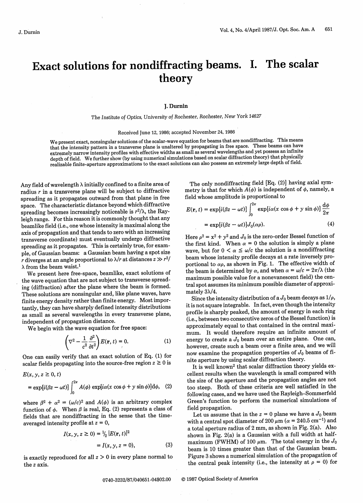# Exact solutions for nondiffracting beams. I. The scalar theory

#### **J.** Durnin

The Institute *of* Optics, University *of* Rochester, Rochester, *New York 14627*

#### Received June 12, 1986; accepted November 24, 1986

We present exact, nonsingular solutions of the scalar-wave equation for beams that are nondiffracting. This means that the intensity pattern in a transverse plane is unaltered by propagating in free space. These beams can have extremely narrow intensity profiles with effective widths as small as several wavelengths and yet possess an infinite depth of field. We further show (by using numerical simulations based on scalar diffraction theory) that physically realizable finite-aperture approximations to the exact solutions can also possess an extremely large depth of field.

Any field of wavelength  $\lambda$  initially confined to a finite area of radius  $r$  in a transverse plane will be subject to diffractive spreading as it propagates outward from that plane in free space. The characteristic distance beyond which diffractive spreading becomes increasingly noticeable is  $r^2/\lambda$ , the Rayleigh range. For this reason it is commonly thought that any beamlike field (i.e., one whose intensity is maximal along the axis of propagation and that tends to zero with an increasing transverse coordinate) must eventually undergo diffractive spreading as it propagates. This is certainly true, for example, of Gaussian beams: a Gaussian beam having a spot size r diverges at an angle proportional to  $\lambda/r$  at distances  $z \gg r^2/r^2$  $\lambda$  from the beam waist.<sup>1</sup>

We present here free-space, beamlike, exact solutions of the wave equation that are not subject to transverse spreading (diffraction) after the plane where the beam is formed. These solutions are nonsingular and, like plane waves, have finite energy density rather than finite energy. Most importantly, they can have sharply defined intensity distributions as small as several wavelengths in every transverse plane, independent of propagation distance.

We begin with the wave equation for free space:

$$
\left(\nabla^2 - \frac{1}{c^2} \frac{\partial^2}{\partial t^2}\right) E(\mathbf{r}, t) = 0.
$$
 (1)

One can easily verify that an exact solution of Eq. (1) for scalar fields propagating into the source-free region  $z \geq 0$  is

$$
E(x, y, z \ge 0, t)
$$
  
=  $\exp[i(\beta z - \omega t)] \int_0^{2\pi} A(\phi) \exp[i\alpha(x \cos \phi + y \sin \phi)] d\phi$ , (2)

where  $\beta^2 + \alpha^2 = (\omega/c)^2$  and  $A(\phi)$  is an arbitrary complex function of  $\phi$ . When  $\beta$  is real, Eq. (2) represents a class of fields that are nondiffracting in the sense that the timeaveraged intensity profile at z *=* 0,

$$
I(x, y, z \ge 0) = \frac{1}{2} |E(\mathbf{r}, t)|^2
$$
  
=  $I(x, y, z = 0)$ , (3)

is exactly reproduced for all  $z > 0$  in every plane normal to the z axis.

The only nondiffracting field [Eq. (2)] having axial symmetry is that for which  $A(\phi)$  is independent of  $\phi$ , namely, a field whose amplitude is proportional to

$$
E(\mathbf{r}, t) = \exp[i(\beta z - \omega t)] \int_0^{2\pi} \exp[i\alpha(x \cos \phi + y \sin \phi)] \frac{d\phi}{2\pi}
$$
  
=  $\exp[i(\beta z - \omega t)]J_0(\alpha \rho).$  (4)

Here  $\rho^2 = x^2 + y^2$  and  $J_0$  is the zero-order Bessel function of the first kind. When  $\alpha = 0$  the solution is simply a plane wave, but for  $0 < \alpha \leq \omega/c$  the solution is a nondiffracting beam whose intensity profile decays at a rate inversely proportional to  $\alpha \rho$ , as shown in Fig. 1. The effective width of the beam is determined by  $\alpha$ , and when  $\alpha = \omega/c = 2\pi/\lambda$  (the maximum possible value for a nonevanescent field) the central spot assumes its minimum possible diameter of approximately  $3\lambda/4$ .

Since the intensity distribution of a  $J_0$  beam decays as  $1/\rho$ , it is not square integrable. In fact, even though the intensity profile is sharply peaked, the amount of energy in each ring (i.e., between two consecutive zeros of the Bessel function) is approximately equal to that contained in the central maximum. It would therefore require an infinite amount of energy to create a  $J_0$  beam over an entire plane. One can, however, create such a beam over a finite area, and we will now examine the propagation properties of  $J_0$  beams of finite aperture by using scalar diffraction theory.

It is well known<sup>2</sup> that scalar diffraction theory yields excellent results when the wavelength is small compared with the size of the aperture and the propagation angles are not too steep. Both of these criteria are well satisfied in the following cases, and we have used the Rayleigh-Sommerfeld Green's function to perform the numerical simulations of field propagation.

Let us assume that in the  $z = 0$  plane we have a  $J_0$  beam with a central spot diameter of 200  $\mu$ m ( $\alpha$  = 240.5 cm<sup>-1</sup>) and a total aperture radius of 2 mm, as shown in Fig. 2(a). Also shown in Fig. 2(a) is a Gaussian with a full width at halfmaximum (FWHM) of 100  $\mu$ m. The total energy in the  $J_0$ beam is 10 times greater than that of the Gaussian beam. Figure 3 shows a numerical simulation of the propagation of the central peak intensity (i.e., the intensity at  $\rho = 0$ ) for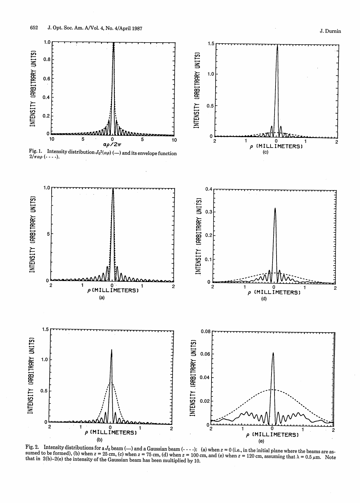



Fig. 2. Intensity distributions for a  $J_0$  beam (--) and a Gaussian beam (----): (a) when  $z = 0$  (i.e., in the initial plane where the beams are assumed to be formed), (b) when  $z = 25$  cm, (c) when  $z = 75$  cm, (d) when  $z = 100$  cm, and (e) when  $z = 120$  cm, assuming that  $\lambda = 0.5 \mu$ m. Note that in 2(b)–2(e) the intensity of the Gaussian beam has been multiplied by 10.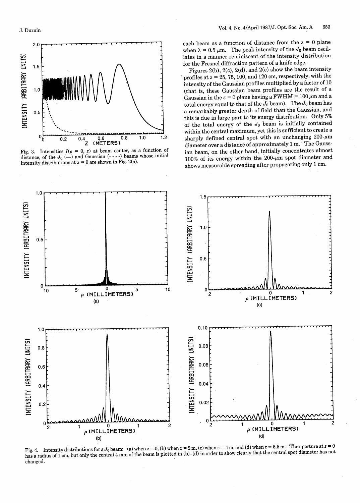



each beam as a function of distance from the  $z = 0$  plane when  $\lambda = 0.5 \mu \text{m}$ . The peak intensity of the  $J_0$  beam oscillates in a manner reminiscent of the intensity distribution for the Fresnel diffraction pattern of a knife edge.

Figures 2(b), 2(c), 2(d), and 2(e) show the beam intensity profiles at  $z = 25, 75, 100,$  and 120 cm, respectively, with the intensity of the Gaussian profiles multiplied by a factor of 10 (that is, these Gaussian beam profiles are the result of a Gaussian in the  $z = 0$  plane having a FWHM =  $100 \mu m$  and a total energy equal to that of the  $J_0$  beam). The  $J_0$  beam has a remarkably greater depth of field than the Gaussian, and this is due in large part to its energy distribution. Only 5% of the total energy of the  $J_0$  beam is initially contained within the central maximum, yet this is sufficient to create a sharply defined central spot with an unchanging  $200$ - $\mu$ m diameter over a distance of approximately 1 m. The Gaussian beam, on the other hand, initially concentrates almost 100% of its energy within the  $200$ - $\mu$ m spot diameter and shows measurable spreading after propagating only 1 cm.



Fig. 4. Intensity distributions for a  $J_0$  beam: (a) when  $z = 0$ , (b) when  $z = 2$  m, (c) when  $z = 4$  m, and (d) when  $z = 5.5$  m. The aperture at  $z = 0$ has a radius of 1 cm, but only the central 4 mm of the beam is plotted in (b)–(d) in order to show clearly that the central spot diameter has not changed.